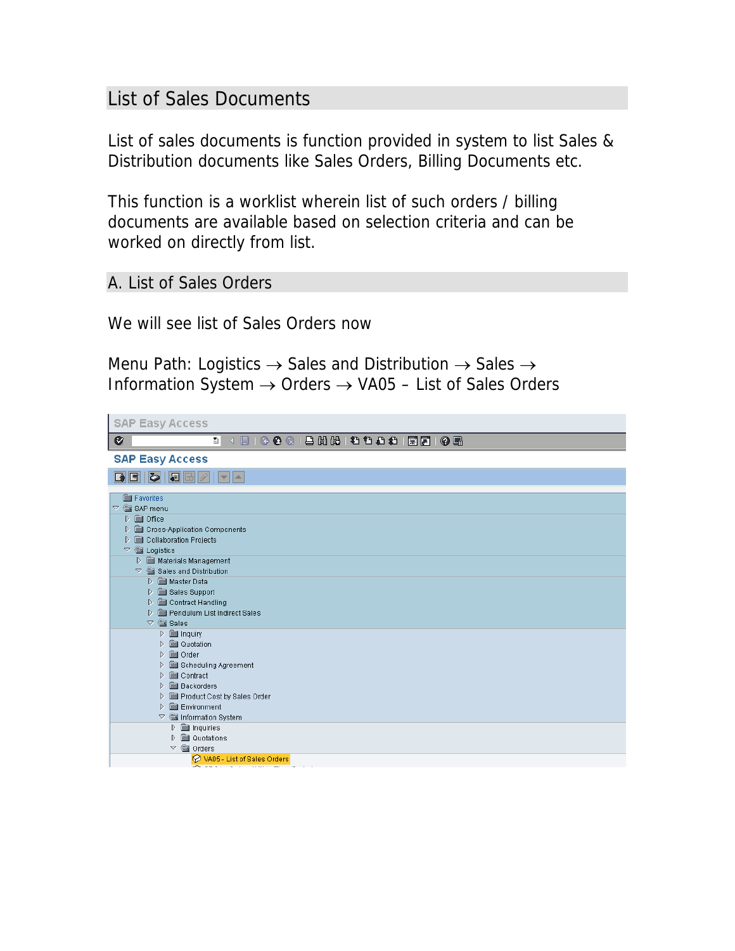## List of Sales Documents

List of sales documents is function provided in system to list Sales & Distribution documents like Sales Orders, Billing Documents etc.

This function is a worklist wherein list of such orders / billing documents are available based on selection criteria and can be worked on directly from list.

A. List of Sales Orders

We will see list of Sales Orders now

Menu Path: Logistics  $\rightarrow$  Sales and Distribution  $\rightarrow$  Sales  $\rightarrow$ Information System → Orders → VA05 – List of Sales Orders

| <b>SAP Easy Access</b>                                                   |  |
|--------------------------------------------------------------------------|--|
| Ø<br>ē                                                                   |  |
| <b>SAP Easy Access</b>                                                   |  |
| $B$ $B$ $C$ $B$ $C$<br>$  \mathbf{v}  $ $\mathbf{A}$                     |  |
| <b>Bu</b> Favorites                                                      |  |
| $\triangledown$ $\mathcal{F}$ SAP menu                                   |  |
| D <b>a</b> Office                                                        |  |
| D <b>Solution</b> Components                                             |  |
| Collaboration Projects<br>D                                              |  |
| $\triangledown$ $\mathcal{C}$ Logistics                                  |  |
| Materials Management                                                     |  |
| $\heartsuit$ $\cong$ Sales and Distribution<br>D <b>Soll Master Data</b> |  |
| Sales Support<br>D.                                                      |  |
| Contract Handling<br>D.                                                  |  |
| D <b>Sending Structure</b> List Indirect Sales                           |  |
| $\triangledown$ $\frac{60}{200}$ Sales                                   |  |
| $D \equiv$ Inquiry                                                       |  |
| <b>D a</b> Quotation                                                     |  |
| <b>set</b> Order<br>$\triangleright$                                     |  |
| Scheduling Agreement<br>D.                                               |  |
| <b>Solution</b> Contract<br>D.                                           |  |
| <b>Backorders</b><br>D.<br>Product Cost by Sales Order<br>D.             |  |
| <b>But</b> Environment<br>$\triangleright$                               |  |
| Information System<br>▽                                                  |  |
| $\triangleright$ $\blacksquare$ Inquiries                                |  |
| <b>a</b> Quotations<br>D                                                 |  |
| ▽ « Orders                                                               |  |
| MA05 - List of Sales Orders                                              |  |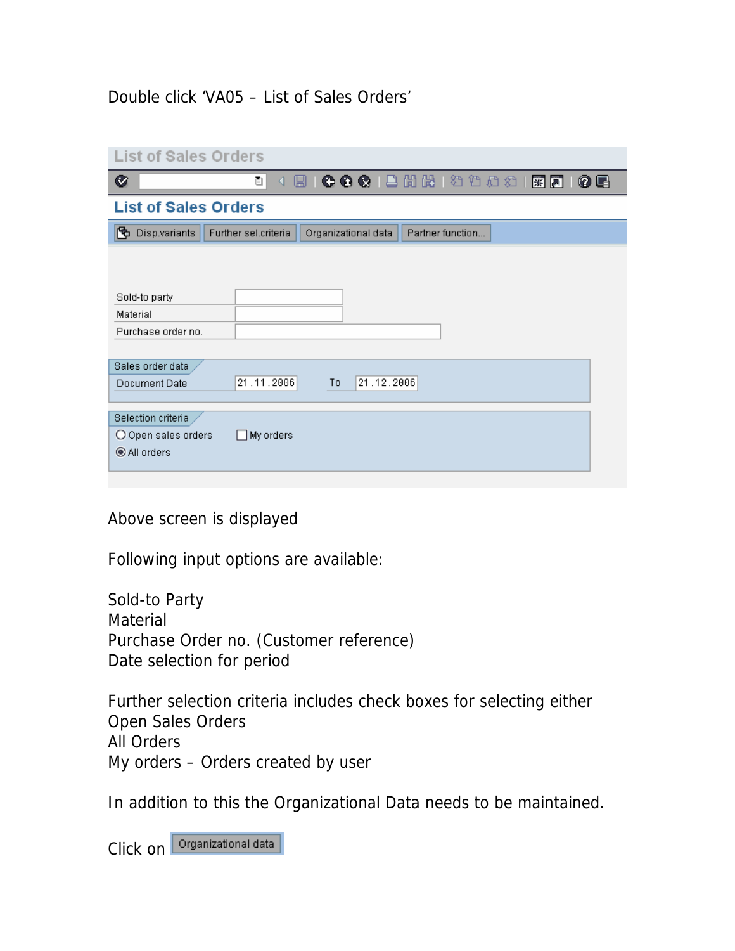## Double click 'VA05 – List of Sales Orders'

| <b>List of Sales Orders</b> |                                                                 |  |  |  |  |  |  |  |  |  |  |
|-----------------------------|-----------------------------------------------------------------|--|--|--|--|--|--|--|--|--|--|
| Ø                           | ū<br>0 E<br>◁<br>u                                              |  |  |  |  |  |  |  |  |  |  |
| <b>List of Sales Orders</b> |                                                                 |  |  |  |  |  |  |  |  |  |  |
| 囥<br>Disp.variants          | Further sel.criteria<br>Organizational data<br>Partner function |  |  |  |  |  |  |  |  |  |  |
|                             |                                                                 |  |  |  |  |  |  |  |  |  |  |
|                             |                                                                 |  |  |  |  |  |  |  |  |  |  |
| Sold-to party               |                                                                 |  |  |  |  |  |  |  |  |  |  |
| Material                    |                                                                 |  |  |  |  |  |  |  |  |  |  |
| Purchase order no.          |                                                                 |  |  |  |  |  |  |  |  |  |  |
|                             |                                                                 |  |  |  |  |  |  |  |  |  |  |
| Sales order data            |                                                                 |  |  |  |  |  |  |  |  |  |  |
| Document Date               | 21.11.2006<br>21.12.2006<br>To                                  |  |  |  |  |  |  |  |  |  |  |
|                             |                                                                 |  |  |  |  |  |  |  |  |  |  |
| Selection criteria          |                                                                 |  |  |  |  |  |  |  |  |  |  |
| O Open sales orders         | $\Box$ My orders                                                |  |  |  |  |  |  |  |  |  |  |
| All orders                  |                                                                 |  |  |  |  |  |  |  |  |  |  |
|                             |                                                                 |  |  |  |  |  |  |  |  |  |  |
|                             |                                                                 |  |  |  |  |  |  |  |  |  |  |

Above screen is displayed

Following input options are available:

Sold-to Party Material Purchase Order no. (Customer reference) Date selection for period

Further selection criteria includes check boxes for selecting either Open Sales Orders All Orders My orders – Orders created by user

In addition to this the Organizational Data needs to be maintained.

Click on **Organizational data**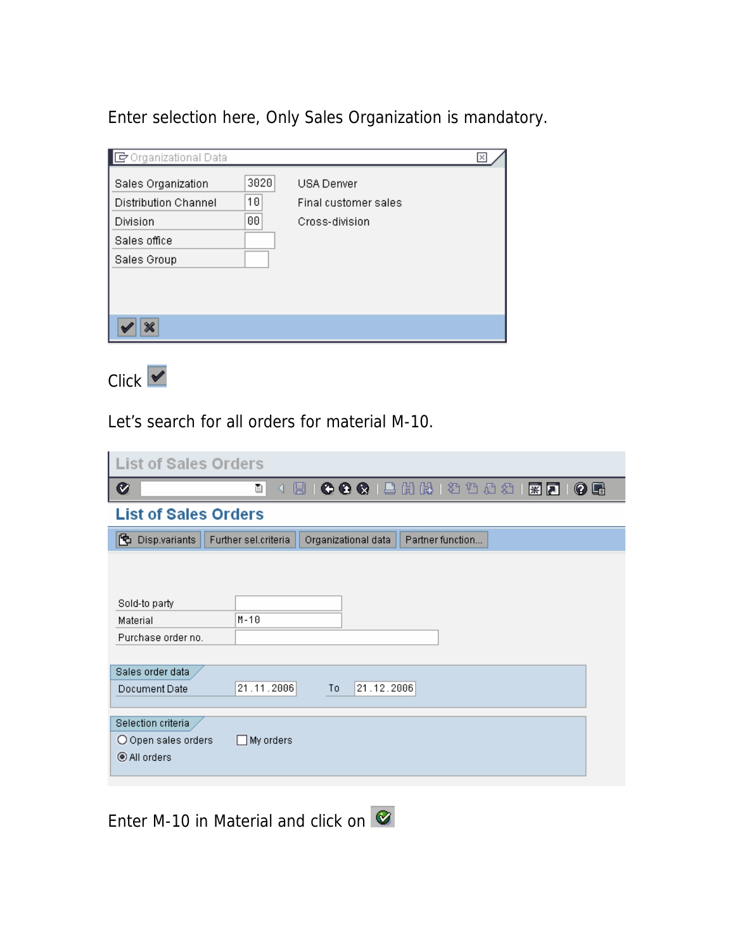Enter selection here, Only Sales Organization is mandatory.

| G Organizational Data                                                                        |                  |                                                      | Ι× |
|----------------------------------------------------------------------------------------------|------------------|------------------------------------------------------|----|
| Sales Organization<br><b>Distribution Channel</b><br>Division<br>Sales office<br>Sales Group | 3020<br>10<br>00 | USA Denver<br>Final customer sales<br>Cross-division |    |
| ×                                                                                            |                  |                                                      |    |

 $C$ lick  $\overline{\mathbf{v}}$ 

Let's search for all orders for material M-10.

| <b>List of Sales Orders</b> |                                                                 |     |  |  |  |  |  |  |  |  |  |  |
|-----------------------------|-----------------------------------------------------------------|-----|--|--|--|--|--|--|--|--|--|--|
| Ø                           | 4 8 6 6 6 6 6 6 6 7 6 7 7 8 7 8 7<br>ū                          | 0 E |  |  |  |  |  |  |  |  |  |  |
| <b>List of Sales Orders</b> |                                                                 |     |  |  |  |  |  |  |  |  |  |  |
| 因<br>Disp.variants          | Organizational data<br>Further sel.criteria<br>Partner function |     |  |  |  |  |  |  |  |  |  |  |
|                             |                                                                 |     |  |  |  |  |  |  |  |  |  |  |
|                             |                                                                 |     |  |  |  |  |  |  |  |  |  |  |
| Sold-to party               |                                                                 |     |  |  |  |  |  |  |  |  |  |  |
| Material                    | $M - 10$                                                        |     |  |  |  |  |  |  |  |  |  |  |
| Purchase order no.          |                                                                 |     |  |  |  |  |  |  |  |  |  |  |
|                             |                                                                 |     |  |  |  |  |  |  |  |  |  |  |
| Sales order data            |                                                                 |     |  |  |  |  |  |  |  |  |  |  |
| Document Date               | 21.11.2006<br>21.12.2006<br>To                                  |     |  |  |  |  |  |  |  |  |  |  |
|                             |                                                                 |     |  |  |  |  |  |  |  |  |  |  |
|                             |                                                                 |     |  |  |  |  |  |  |  |  |  |  |
| Selection criteria          |                                                                 |     |  |  |  |  |  |  |  |  |  |  |
| O Open sales orders         | My orders<br>H                                                  |     |  |  |  |  |  |  |  |  |  |  |
| ◉ All orders                |                                                                 |     |  |  |  |  |  |  |  |  |  |  |
|                             |                                                                 |     |  |  |  |  |  |  |  |  |  |  |

Enter M-10 in Material and click on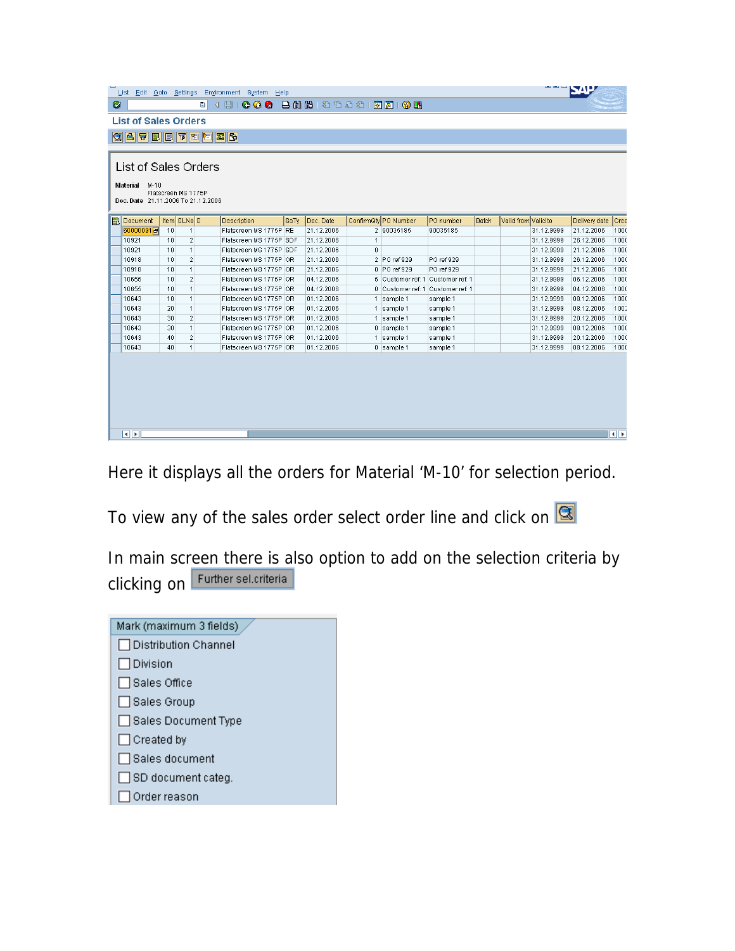| ے سے س<br>List Edit Goto Settings Environment System Help<br>Ø<br><b>List of Sales Orders</b><br><b>GATEFFE</b><br>List of Sales Orders<br>Material<br>$M-10$<br>Flatscreen MS 1775P<br>Doc. Date 21.11.2006 To 21.12.2006 |    |                         |  |                         |      |            |              |                                   |            |              |                     |            |               |       |
|----------------------------------------------------------------------------------------------------------------------------------------------------------------------------------------------------------------------------|----|-------------------------|--|-------------------------|------|------------|--------------|-----------------------------------|------------|--------------|---------------------|------------|---------------|-------|
| <b>B</b> Document                                                                                                                                                                                                          |    | Item SLNoS              |  | Description             | SaTy | Doc. Date  |              | ConfirmQty PO Number              | PO number  | <b>Batch</b> | Valid from Valid to |            | Delivery date | Crea  |
| 60000091日                                                                                                                                                                                                                  | 10 | $\mathbf{1}$            |  | Flatscreen MS 1775P RE  |      | 21.12.2006 |              | 2 90035185                        | 90035185   |              |                     | 31.12.9999 | 21.12.2006    | 1000  |
| 10921                                                                                                                                                                                                                      | 10 | $\overline{\mathbf{2}}$ |  | Flatscreen MS 1775P SDF |      | 21.12.2006 | $\mathbf{1}$ |                                   |            |              |                     | 31.12.9999 | 26.12.2006    | 1000  |
| 10921                                                                                                                                                                                                                      | 10 | $\mathbf{1}$            |  | Flatscreen MS 1775P SDF |      | 21.12.2006 | 0            |                                   |            |              |                     | 31.12.9999 | 21.12.2006    | 1000  |
| 10918                                                                                                                                                                                                                      | 10 | 2                       |  | Flatscreen MS 1775P OR  |      | 21.12.2006 |              | 2 PO ref 929                      | PO ref 929 |              |                     | 31.12.9999 | 26.12.2006    | 1000  |
| 10918                                                                                                                                                                                                                      | 10 | $\mathbf{1}$            |  | Flatscreen MS 1775P OR  |      | 21.12.2006 |              | 0 PO ref 929                      | PO ref 929 |              |                     | 31.12.9999 | 21.12.2006    | 1000  |
| 10655                                                                                                                                                                                                                      | 10 | $\overline{2}$          |  | Flatscreen MS 1775P OR  |      | 04.12.2006 |              | 5 Customer ref: 1 Customer ref: 1 |            |              |                     | 31.12.9999 | 06.12.2006    | 1000  |
| 10655                                                                                                                                                                                                                      | 10 | 1                       |  | Flatscreen MS 1775P OR  |      | 04.12.2006 |              | 0 Customer ref: 1 Customer ref: 1 |            |              |                     | 31.12.9999 | 04.12.2006    | 1000  |
| 10643                                                                                                                                                                                                                      | 10 | $\mathbf{1}$            |  | Flatscreen MS 1775P OR  |      | 01.12.2006 |              | 1 sample 1                        | sample 1   |              |                     | 31.12.9999 | 08.12.2006    | 1000  |
| 10643                                                                                                                                                                                                                      | 20 | $\mathbf{1}$            |  | Flatscreen MS 1775P OR  |      | 01.12.2006 |              | 1 sample 1                        | sample 1   |              |                     | 31.12.9999 | 08.12.2006    | 1002  |
| 10643                                                                                                                                                                                                                      | 30 | $\overline{\mathbf{2}}$ |  | Flatscreen MS 1775P OR  |      | 01.12.2006 |              | 1 sample 1                        | sample 1   |              |                     | 31.12.9999 | 20.12.2006    | 1000  |
| 10643                                                                                                                                                                                                                      | 30 | $\mathbf{1}$            |  | Flatscreen MS 1775P OR  |      | 01.12.2006 |              | $0$ sample 1                      | sample 1   |              |                     | 31.12.9999 | 08.12.2006    | 1000  |
| 10643                                                                                                                                                                                                                      | 40 | 2                       |  | Flatscreen MS 1775P OR  |      | 01.12.2006 |              | 1 sample 1                        | sample 1   |              |                     | 31.12.9999 | 20.12.2006    | 1000  |
| 10643                                                                                                                                                                                                                      | 40 | $\mathbf{1}$            |  | Flatscreen MS 1775P OR  |      | 01.12.2006 |              | $0$ sample 1                      | sample 1   |              |                     | 31.12.9999 | 08.12.2006    | 1000  |
| $\overline{\mathbf{A}}$ $\overline{\mathbf{B}}$                                                                                                                                                                            |    |                         |  |                         |      |            |              |                                   |            |              |                     |            |               | बाह्य |

Here it displays all the orders for Material 'M-10' for selection period.

To view any of the sales order select order line and click on  $\boxed{\textcircled{\textbf{S}}}$ 

In main screen there is also option to add on the selection criteria by clicking on Further sel.criteria

| Mark (maximum 3 fields)   |
|---------------------------|
| □ Distribution Channel    |
| $\Box$ Division           |
| $\Box$ Sales Office       |
| ∣ ∏Sales Group            |
| □ Sales Document Type     |
| $\Box$ Created by         |
| │ Sales document          |
| $\Box$ SD document categ. |
| Order reason              |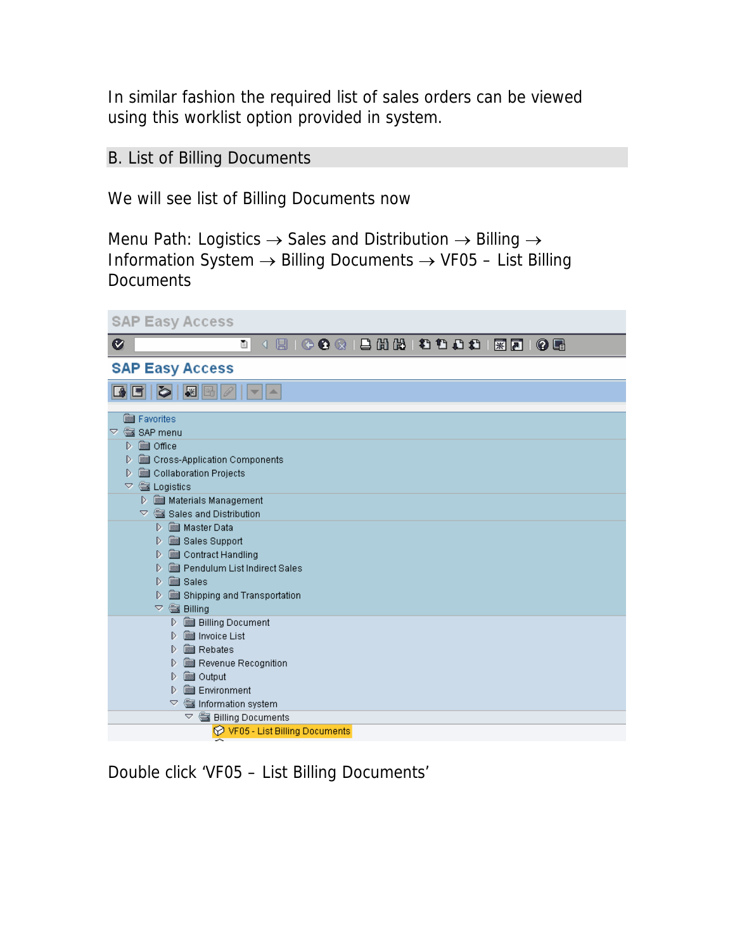In similar fashion the required list of sales orders can be viewed using this worklist option provided in system.

## B. List of Billing Documents

We will see list of Billing Documents now

Menu Path: Logistics  $\rightarrow$  Sales and Distribution  $\rightarrow$  Billing  $\rightarrow$ Information System → Billing Documents → VF05 – List Billing **Documents** 

| <b>SAP Easy Access</b>                                                                  |
|-----------------------------------------------------------------------------------------|
| 8 0 0 0 0 1 8 8 8 8 8 9 8 0 8 8 8 9 8 8 9 8 9 8<br>Ø<br>画<br>◁                          |
| <b>SAP Easy Access</b>                                                                  |
| $  \mathbf{F}  $<br>io.<br>IJ<br><b>A</b>                                               |
| <b>Bu</b> Favorites                                                                     |
| SAP menu<br>Ö,                                                                          |
| Office<br>D                                                                             |
| Cross-Application Components<br>D                                                       |
| Collaboration Projects<br>D                                                             |
| <b>WE Logistics</b><br>▽                                                                |
| Materials Management                                                                    |
| $\heartsuit$ $\frac{600}{6000}$ Sales and Distribution<br><b>SSSI Master Data</b><br>D. |
| Sales Support<br>D                                                                      |
| Contract Handling<br>D                                                                  |
| Pendulum List Indirect Sales<br>D                                                       |
| Sales<br>D                                                                              |
| Shipping and Transportation<br>D                                                        |
| <b>Billing</b><br>$\overline{\nabla}$                                                   |
| <b>Billing Document</b><br>D                                                            |
| Invoice List<br>D.                                                                      |
| ▒ Rebates<br>D                                                                          |
| Revenue Recognition<br>D<br>D                                                           |
| <b>sel</b> Output<br><b>Environment</b><br>D                                            |
| $\triangledown$<br>Information system                                                   |
| $\bigtriangledown$<br><b>Billing Documents</b>                                          |
| <b>⊙ VF05 - List Billing Documents</b>                                                  |

Double click 'VF05 – List Billing Documents'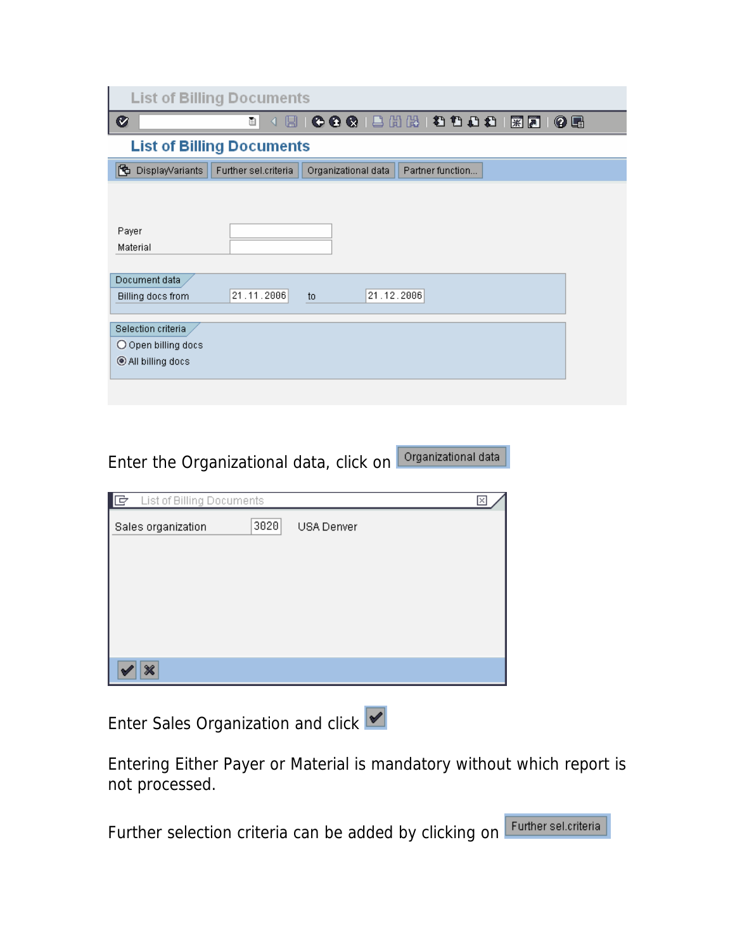| <b>List of Billing Documents</b> |                      |                                 |                  |  |    |  |  |  |  |  |  |  |
|----------------------------------|----------------------|---------------------------------|------------------|--|----|--|--|--|--|--|--|--|
| Ø                                | ū<br>◁               | 8 8 2 4 4 4 4 5 6 7 8 9 9 1 1 2 |                  |  | 06 |  |  |  |  |  |  |  |
| <b>List of Billing Documents</b> |                      |                                 |                  |  |    |  |  |  |  |  |  |  |
| 內<br>DisplayVariants             | Further sel.criteria | Organizational data             | Partner function |  |    |  |  |  |  |  |  |  |
|                                  |                      |                                 |                  |  |    |  |  |  |  |  |  |  |
|                                  |                      |                                 |                  |  |    |  |  |  |  |  |  |  |
| Payer<br>Material                |                      |                                 |                  |  |    |  |  |  |  |  |  |  |
|                                  |                      |                                 |                  |  |    |  |  |  |  |  |  |  |
| Document data                    |                      |                                 |                  |  |    |  |  |  |  |  |  |  |
| Billing docs from                | 21.11.2006           | 21.12.2006<br>t <sub>0</sub>    |                  |  |    |  |  |  |  |  |  |  |
| Selection criteria               |                      |                                 |                  |  |    |  |  |  |  |  |  |  |
| O Open billing docs              |                      |                                 |                  |  |    |  |  |  |  |  |  |  |
| All billing docs                 |                      |                                 |                  |  |    |  |  |  |  |  |  |  |
|                                  |                      |                                 |                  |  |    |  |  |  |  |  |  |  |

Enter the Organizational data, click on **Drganizational data** 

| IG<br>List of Billing Documents |      | Ι×         |
|---------------------------------|------|------------|
| Sales organization              | 3020 | USA Denver |
|                                 |      |            |
|                                 |      |            |
|                                 |      |            |
|                                 |      |            |
| $\boldsymbol{\varkappa}$        |      |            |

Enter Sales Organization and click

Entering Either Payer or Material is mandatory without which report is not processed.

Further selection criteria can be added by clicking on Further sel criteria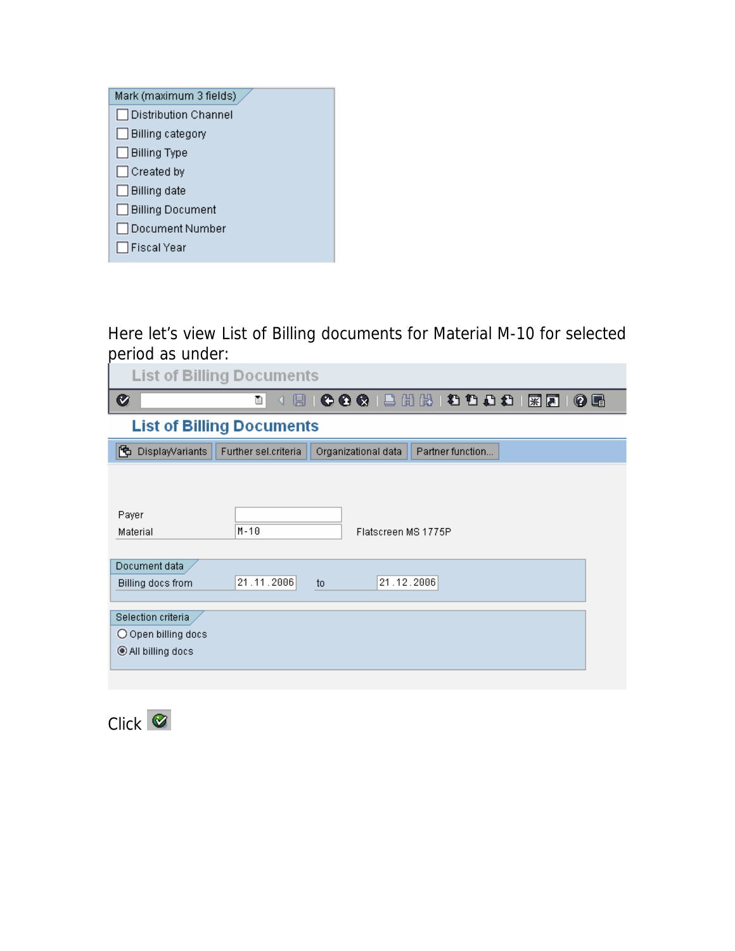Here let's view List of Billing documents for Material M-10 for selected period as under:

| <b>List of Billing Documents</b> |                                  |                                         |  |  |  |  |  |  |  |  |  |
|----------------------------------|----------------------------------|-----------------------------------------|--|--|--|--|--|--|--|--|--|
| Ø                                | ū<br>ы<br>◁                      | 0001202121202180<br>0 E                 |  |  |  |  |  |  |  |  |  |
|                                  | <b>List of Billing Documents</b> |                                         |  |  |  |  |  |  |  |  |  |
| 囥<br>DisplayVariants             | Further sel.criteria             | Organizational data<br>Partner function |  |  |  |  |  |  |  |  |  |
|                                  |                                  |                                         |  |  |  |  |  |  |  |  |  |
| Payer                            |                                  |                                         |  |  |  |  |  |  |  |  |  |
| Material                         | $M - 10$                         | Flatscreen MS 1775P                     |  |  |  |  |  |  |  |  |  |
|                                  |                                  |                                         |  |  |  |  |  |  |  |  |  |
| Document data                    |                                  |                                         |  |  |  |  |  |  |  |  |  |
| Billing docs from                | 21.11.2006                       | 21.12.2006<br>to                        |  |  |  |  |  |  |  |  |  |
| Selection criteria               |                                  |                                         |  |  |  |  |  |  |  |  |  |
| O Open billing docs              |                                  |                                         |  |  |  |  |  |  |  |  |  |
| All billing docs                 |                                  |                                         |  |  |  |  |  |  |  |  |  |
|                                  |                                  |                                         |  |  |  |  |  |  |  |  |  |
|                                  |                                  |                                         |  |  |  |  |  |  |  |  |  |

 $Click$